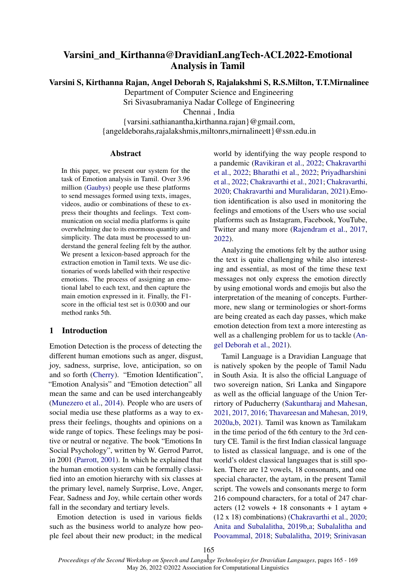# Varsini\_and\_Kirthanna@DravidianLangTech-ACL2022-Emotional Analysis in Tamil

Varsini S, Kirthanna Rajan, Angel Deborah S, Rajalakshmi S, R.S.Milton, T.T.Mirnalinee

Department of Computer Science and Engineering

Sri Sivasubramaniya Nadar College of Engineering

Chennai , India

{varsini.sathianantha,kirthanna.rajan}@gmail.com,

{angeldeborahs,rajalakshmis,miltonrs,mirnalineett}@ssn.edu.in

#### Abstract

In this paper, we present our system for the task of Emotion analysis in Tamil. Over 3.96 million [\(Gaubys\)](#page-3-0) people use these platforms to send messages formed using texts, images, videos, audio or combinations of these to express their thoughts and feelings. Text communication on social media platforms is quite overwhelming due to its enormous quantity and simplicity. The data must be processed to understand the general feeling felt by the author. We present a lexicon-based approach for the extraction emotion in Tamil texts. We use dictionaries of words labelled with their respective emotions. The process of assigning an emotional label to each text, and then capture the main emotion expressed in it. Finally, the F1 score in the official test set is 0.0300 and our method ranks 5th.

### 1 Introduction

Emotion Detection is the process of detecting the different human emotions such as anger, disgust, joy, sadness, surprise, love, anticipation, so on and so forth [\(Cherry\)](#page-3-1). "Emotion Identification", "Emotion Analysis" and "Emotion detection" all mean the same and can be used interchangeably [\(Munezero et al.,](#page-3-2) [2014\)](#page-3-2). People who are users of social media use these platforms as a way to express their feelings, thoughts and opinions on a wide range of topics. These feelings may be positive or neutral or negative. The book "Emotions In Social Psychology", written by W. Gerrod Parrot, in 2001 [\(Parrott,](#page-3-3) [2001\)](#page-3-3). In which he explained that the human emotion system can be formally classified into an emotion hierarchy with six classes at the primary level, namely Surprise, Love, Anger, Fear, Sadness and Joy, while certain other words fall in the secondary and tertiary levels.

Emotion detection is used in various fields such as the business world to analyze how people feel about their new product; in the medical

world by identifying the way people respond to a pandemic [\(Ravikiran et al.,](#page-4-0) [2022;](#page-4-0) [Chakravarthi](#page-3-4) [et al.,](#page-3-4) [2022;](#page-3-4) [Bharathi et al.,](#page-3-5) [2022;](#page-3-5) [Priyadharshini](#page-4-1) [et al.,](#page-4-1) [2022;](#page-4-1) [Chakravarthi et al.,](#page-3-6) [2021;](#page-3-6) [Chakravarthi,](#page-3-7) [2020;](#page-3-7) [Chakravarthi and Muralidaran,](#page-3-8) [2021\)](#page-3-8).Emotion identification is also used in monitoring the feelings and emotions of the Users who use social platforms such as Instagram, Facebook, YouTube, Twitter and many more [\(Rajendram et al.,](#page-4-2) [2017,](#page-4-2) [2022\)](#page-4-3).

Analyzing the emotions felt by the author using the text is quite challenging while also interesting and essential, as most of the time these text messages not only express the emotion directly by using emotional words and emojis but also the interpretation of the meaning of concepts. Furthermore, new slang or terminologies or short-forms are being created as each day passes, which make emotion detection from text a more interesting as well as a challenging problem for us to tackle [\(An](#page-3-9)[gel Deborah et al.,](#page-3-9) [2021\)](#page-3-9).

Tamil Language is a Dravidian Language that is natively spoken by the people of Tamil Nadu in South Asia. It is also the official Language of two sovereign nation, Sri Lanka and Singapore as well as the official language of the Union Terrirtory of Puducherry [\(Sakuntharaj and Mahesan,](#page-4-4) [2021,](#page-4-4) [2017,](#page-4-5) [2016;](#page-4-6) [Thavareesan and Mahesan,](#page-4-7) [2019,](#page-4-7) [2020a](#page-4-8)[,b,](#page-4-9) [2021\)](#page-4-10). Tamil was known as Tamilakam in the time period of the 6th century to the 3rd century CE. Tamil is the first Indian classical language to listed as classical language, and is one of the world's oldest classical languages that is still spoken. There are 12 vowels, 18 consonants, and one special character, the aytam, in the present Tamil script. The vowels and consonants merge to form 216 compound characters, for a total of 247 characters  $(12$  vowels + 18 consonants + 1 aytam + (12 x 18) combinations) [\(Chakravarthi et al.,](#page-3-10) [2020;](#page-3-10) [Anita and Subalalitha,](#page-3-11) [2019b](#page-3-11)[,a;](#page-3-12) [Subalalitha and](#page-4-11) [Poovammal,](#page-4-11) [2018;](#page-4-11) [Subalalitha,](#page-4-12) [2019;](#page-4-12) [Srinivasan](#page-4-13)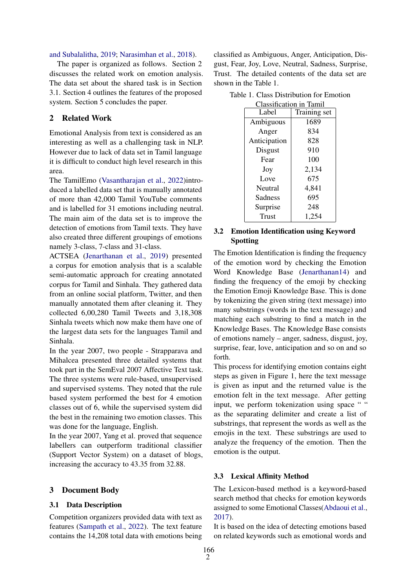[and Subalalitha,](#page-4-13) [2019;](#page-4-13) [Narasimhan et al.,](#page-3-13) [2018\)](#page-3-13).

The paper is organized as follows. Section 2 discusses the related work on emotion analysis. The data set about the shared task is in Section 3.1. Section 4 outlines the features of the proposed system. Section 5 concludes the paper.

### 2 Related Work

Emotional Analysis from text is considered as an interesting as well as a challenging task in NLP. However due to lack of data set in Tamil language it is difficult to conduct high level research in this area.

The TamilEmo [\(Vasantharajan et al.,](#page-4-14) [2022\)](#page-4-14)introduced a labelled data set that is manually annotated of more than 42,000 Tamil YouTube comments and is labelled for 31 emotions including neutral. The main aim of the data set is to improve the detection of emotions from Tamil texts. They have also created three different groupings of emotions namely 3-class, 7-class and 31-class.

ACTSEA [\(Jenarthanan et al.,](#page-3-14) [2019\)](#page-3-14) presented a corpus for emotion analysis that is a scalable semi-automatic approach for creating annotated corpus for Tamil and Sinhala. They gathered data from an online social platform, Twitter, and then manually annotated them after cleaning it. They collected 6,00,280 Tamil Tweets and 3,18,308 Sinhala tweets which now make them have one of the largest data sets for the languages Tamil and Sinhala.

In the year 2007, two people - Strapparava and Mihalcea presented three detailed systems that took part in the SemEval 2007 Affective Text task. The three systems were rule-based, unsupervised and supervised systems. They noted that the rule based system performed the best for 4 emotion classes out of 6, while the supervised system did the best in the remaining two emotion classes. This was done for the language, English.

In the year 2007, Yang et al. proved that sequence labellers can outperform traditional classifier (Support Vector System) on a dataset of blogs, increasing the accuracy to 43.35 from 32.88.

#### 3 Document Body

#### 3.1 Data Description

Competition organizers provided data with text as features [\(Sampath et al.,](#page-4-15) [2022\)](#page-4-15). The text feature contains the 14,208 total data with emotions being classified as Ambiguous, Anger, Anticipation, Disgust, Fear, Joy, Love, Neutral, Sadness, Surprise, Trust. The detailed contents of the data set are shown in the Table 1.

| Стабынсанон пі<br>танні |              |  |  |  |  |
|-------------------------|--------------|--|--|--|--|
| Label                   | Training set |  |  |  |  |
| Ambiguous               | 1689         |  |  |  |  |
| Anger                   | 834          |  |  |  |  |
| Anticipation            | 828          |  |  |  |  |
| Disgust                 | 910          |  |  |  |  |
| Fear                    | 100          |  |  |  |  |
| Joy                     | 2,134        |  |  |  |  |
| Love                    | 675          |  |  |  |  |
| Neutral                 | 4,841        |  |  |  |  |
| Sadness                 | 695          |  |  |  |  |
| Surprise                | 248          |  |  |  |  |
| <b>Trust</b>            | 1,254        |  |  |  |  |

|  | Table 1. Class Distribution for Emotion |  |
|--|-----------------------------------------|--|
|  | Clossification in Tamil                 |  |

#### 3.2 Emotion Identification using Keyword Spotting

The Emotion Identification is finding the frequency of the emotion word by checking the Emotion Word Knowledge Base [\(Jenarthanan14\)](#page-3-15) and finding the frequency of the emoji by checking the Emotion Emoji Knowledge Base. This is done by tokenizing the given string (text message) into many substrings (words in the text message) and matching each substring to find a match in the Knowledge Bases. The Knowledge Base consists of emotions namely – anger, sadness, disgust, joy, surprise, fear, love, anticipation and so on and so forth.

This process for identifying emotion contains eight steps as given in Figure 1, here the text message is given as input and the returned value is the emotion felt in the text message. After getting input, we perform tokenization using space " " as the separating delimiter and create a list of substrings, that represent the words as well as the emojis in the text. These substrings are used to analyze the frequency of the emotion. Then the emotion is the output.

### 3.3 Lexical Affinity Method

The Lexicon-based method is a keyword-based search method that checks for emotion keywords assigned to some Emotional Classes[\(Abdaoui et al.,](#page-3-16) [2017\)](#page-3-16).

It is based on the idea of detecting emotions based on related keywords such as emotional words and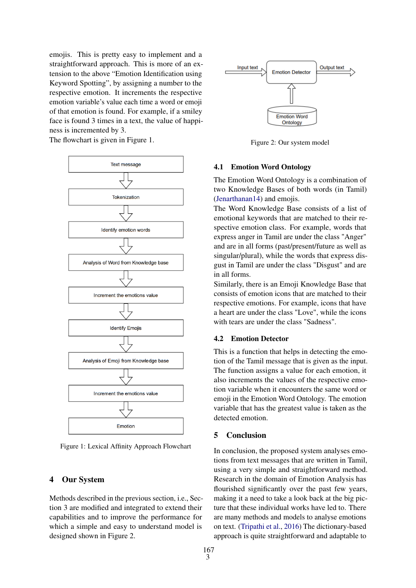emojis. This is pretty easy to implement and a straightforward approach. This is more of an extension to the above "Emotion Identification using Keyword Spotting", by assigning a number to the respective emotion. It increments the respective emotion variable's value each time a word or emoji of that emotion is found. For example, if a smiley face is found 3 times in a text, the value of happiness is incremented by 3.

The flowchart is given in Figure 1.



Figure 1: Lexical Affinity Approach Flowchart

## 4 Our System

Methods described in the previous section, i.e., Section 3 are modified and integrated to extend their capabilities and to improve the performance for which a simple and easy to understand model is designed shown in Figure 2.



Figure 2: Our system model

### 4.1 Emotion Word Ontology

The Emotion Word Ontology is a combination of two Knowledge Bases of both words (in Tamil) [\(Jenarthanan14\)](#page-3-15) and emojis.

The Word Knowledge Base consists of a list of emotional keywords that are matched to their respective emotion class. For example, words that express anger in Tamil are under the class "Anger" and are in all forms (past/present/future as well as singular/plural), while the words that express disgust in Tamil are under the class "Disgust" and are in all forms.

Similarly, there is an Emoji Knowledge Base that consists of emotion icons that are matched to their respective emotions. For example, icons that have a heart are under the class "Love", while the icons with tears are under the class "Sadness".

## 4.2 Emotion Detector

This is a function that helps in detecting the emotion of the Tamil message that is given as the input. The function assigns a value for each emotion, it also increments the values of the respective emotion variable when it encounters the same word or emoji in the Emotion Word Ontology. The emotion variable that has the greatest value is taken as the detected emotion.

## 5 Conclusion

In conclusion, the proposed system analyses emotions from text messages that are written in Tamil, using a very simple and straightforward method. Research in the domain of Emotion Analysis has flourished significantly over the past few years, making it a need to take a look back at the big picture that these individual works have led to. There are many methods and models to analyse emotions on text. [\(Tripathi et al.,](#page-4-16) [2016\)](#page-4-16) The dictionary-based approach is quite straightforward and adaptable to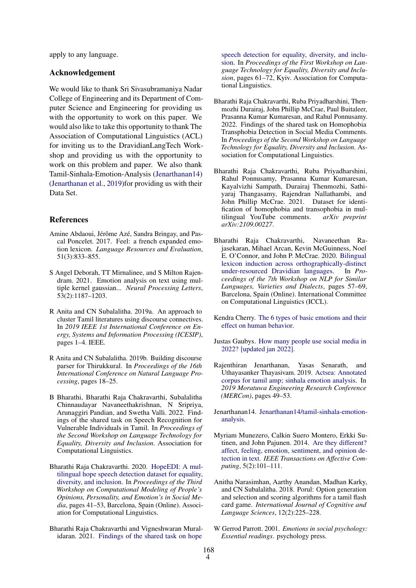apply to any language.

### Acknowledgement

We would like to thank Sri Sivasubramaniya Nadar College of Engineering and its Department of Computer Science and Engineering for providing us with the opportunity to work on this paper. We would also like to take this opportunity to thank The Association of Computational Linguistics (ACL) for inviting us to the DravidianLangTech Workshop and providing us with the opportunity to work on this problem and paper. We also thank Tamil-Sinhala-Emotion-Analysis [\(Jenarthanan14\)](#page-3-15) [\(Jenarthanan et al.,](#page-3-14) [2019\)](#page-3-14)for providing us with their Data Set.

### References

- <span id="page-3-16"></span>Amine Abdaoui, Jérôme Azé, Sandra Bringay, and Pascal Poncelet. 2017. Feel: a french expanded emotion lexicon. *Language Resources and Evaluation*, 51(3):833–855.
- <span id="page-3-9"></span>S Angel Deborah, TT Mirnalinee, and S Milton Rajendram. 2021. Emotion analysis on text using multiple kernel gaussian... *Neural Processing Letters*, 53(2):1187–1203.
- <span id="page-3-12"></span>R Anita and CN Subalalitha. 2019a. An approach to cluster Tamil literatures using discourse connectives. In *2019 IEEE 1st International Conference on Energy, Systems and Information Processing (ICESIP)*, pages 1–4. IEEE.
- <span id="page-3-11"></span>R Anita and CN Subalalitha. 2019b. Building discourse parser for Thirukkural. In *Proceedings of the 16th International Conference on Natural Language Processing*, pages 18–25.
- <span id="page-3-5"></span>B Bharathi, Bharathi Raja Chakravarthi, Subalalitha Chinnaudayar Navaneethakrishnan, N Sripriya, Arunaggiri Pandian, and Swetha Valli. 2022. Findings of the shared task on Speech Recognition for Vulnerable Individuals in Tamil. In *Proceedings of the Second Workshop on Language Technology for Equality, Diversity and Inclusion*. Association for Computational Linguistics.
- <span id="page-3-7"></span>Bharathi Raja Chakravarthi. 2020. [HopeEDI: A mul](https://aclanthology.org/2020.peoples-1.5)[tilingual hope speech detection dataset for equality,](https://aclanthology.org/2020.peoples-1.5) [diversity, and inclusion.](https://aclanthology.org/2020.peoples-1.5) In *Proceedings of the Third Workshop on Computational Modeling of People's Opinions, Personality, and Emotion's in Social Media*, pages 41–53, Barcelona, Spain (Online). Association for Computational Linguistics.
- <span id="page-3-8"></span>Bharathi Raja Chakravarthi and Vigneshwaran Muralidaran. 2021. [Findings of the shared task on hope](https://aclanthology.org/2021.ltedi-1.8)

[speech detection for equality, diversity, and inclu](https://aclanthology.org/2021.ltedi-1.8)[sion.](https://aclanthology.org/2021.ltedi-1.8) In *Proceedings of the First Workshop on Language Technology for Equality, Diversity and Inclusion*, pages 61–72, Kyiv. Association for Computational Linguistics.

- <span id="page-3-4"></span>Bharathi Raja Chakravarthi, Ruba Priyadharshini, Thenmozhi Durairaj, John Phillip McCrae, Paul Buitaleer, Prasanna Kumar Kumaresan, and Rahul Ponnusamy. 2022. Findings of the shared task on Homophobia Transphobia Detection in Social Media Comments. In *Proceedings of the Second Workshop on Language Technology for Equality, Diversity and Inclusion*. Association for Computational Linguistics.
- <span id="page-3-6"></span>Bharathi Raja Chakravarthi, Ruba Priyadharshini, Rahul Ponnusamy, Prasanna Kumar Kumaresan, Kayalvizhi Sampath, Durairaj Thenmozhi, Sathiyaraj Thangasamy, Rajendran Nallathambi, and John Phillip McCrae. 2021. Dataset for identification of homophobia and transophobia in multilingual YouTube comments. *arXiv preprint arXiv:2109.00227*.
- <span id="page-3-10"></span>Bharathi Raja Chakravarthi, Navaneethan Rajasekaran, Mihael Arcan, Kevin McGuinness, Noel E. O'Connor, and John P. McCrae. 2020. [Bilingual](https://aclanthology.org/2020.vardial-1.6) [lexicon induction across orthographically-distinct](https://aclanthology.org/2020.vardial-1.6) [under-resourced Dravidian languages.](https://aclanthology.org/2020.vardial-1.6) In *Proceedings of the 7th Workshop on NLP for Similar Languages, Varieties and Dialects*, pages 57–69, Barcelona, Spain (Online). International Committee on Computational Linguistics (ICCL).
- <span id="page-3-1"></span>Kendra Cherry. [The 6 types of basic emotions and their](https://www.verywellmind.com/an-overview-of-the-types-of-emotions-4163976) [effect on human behavior.](https://www.verywellmind.com/an-overview-of-the-types-of-emotions-4163976)
- <span id="page-3-0"></span>Justas Gaubys. [How many people use social media in](https://www.oberlo.in/statistics/how-many-people-use-social-media) [2022? \[updated jan 2022\].](https://www.oberlo.in/statistics/how-many-people-use-social-media)
- <span id="page-3-14"></span>Rajenthiran Jenarthanan, Yasas Senarath, and Uthayasanker Thayasivam. 2019. [Actsea: Annotated](https://doi.org/10.1109/MERCon.2019.8818760) [corpus for tamil amp; sinhala emotion analysis.](https://doi.org/10.1109/MERCon.2019.8818760) In *2019 Moratuwa Engineering Research Conference (MERCon)*, pages 49–53.
- <span id="page-3-15"></span>Jenarthanan14. [Jenarthanan14/tamil-sinhala-emotion](https://github.com/Jenarthanan14/Tamil-Sinhala-Emotion-Analysis)[analysis.](https://github.com/Jenarthanan14/Tamil-Sinhala-Emotion-Analysis)
- <span id="page-3-2"></span>Myriam Munezero, Calkin Suero Montero, Erkki Sutinen, and John Pajunen. 2014. [Are they different?](https://doi.org/10.1109/TAFFC.2014.2317187) [affect, feeling, emotion, sentiment, and opinion de](https://doi.org/10.1109/TAFFC.2014.2317187)[tection in text.](https://doi.org/10.1109/TAFFC.2014.2317187) *IEEE Transactions on Affective Computing*, 5(2):101–111.
- <span id="page-3-13"></span>Anitha Narasimhan, Aarthy Anandan, Madhan Karky, and CN Subalalitha. 2018. Porul: Option generation and selection and scoring algorithms for a tamil flash card game. *International Journal of Cognitive and Language Sciences*, 12(2):225–228.
- <span id="page-3-3"></span>W Gerrod Parrott. 2001. *Emotions in social psychology: Essential readings*. psychology press.